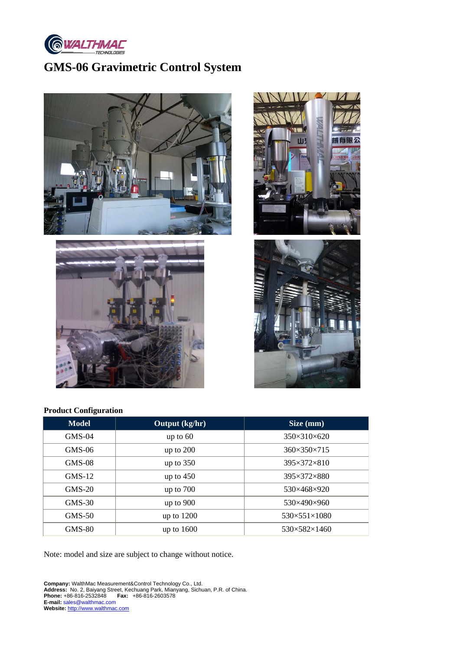

# **GMS-06 Gravimetric Control System**







# **Product Configuration**

| <b>Model</b>  | Output (kg/hr) | Size (mm)                    |
|---------------|----------------|------------------------------|
| $GMS-04$      | up to $60$     | $350\times310\times620$      |
| $GMS-06$      | up to $200$    | $360 \times 350 \times 715$  |
| $GMS-08$      | up to $350$    | $395\times372\times810$      |
| $GMS-12$      | up to $450$    | 395×372×880                  |
| $GMS-20$      | up to $700$    | 530×468×920                  |
| $GMS-30$      | up to $900$    | 530×490×960                  |
| $GMS-50$      | up to $1200$   | $530 \times 551 \times 1080$ |
| <b>GMS-80</b> | up to $1600$   | $530\times582\times1460$     |

Note: model and size are subject to change without notice.

**Company:** WalthMac Measurement&Control Technology Co., Ltd. **Address:** No. 2, Baiyang Street, Kechuang Park, Mianyang, Sichuan, P.R. of China. **Phone:** +86-816-2532848 **Fax:** +86-816-2603578 **E-mail:** sales@walthmac.com **Website:** http://www.walthmac.com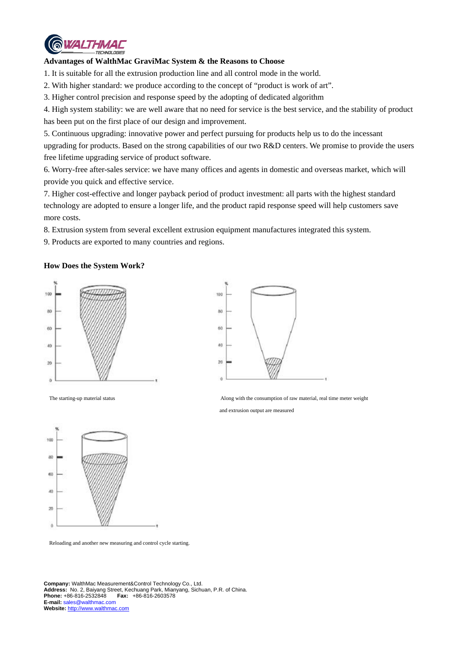

### **Advantages of WalthMac GraviMac System & the Reasons to Choose**

1. It is suitable for all the extrusion production line and all control mode in the world.

2. With higher standard: we produce according to the concept of "product is work of art".

3. Higher control precision and response speed by the adopting of dedicated algorithm

4. High system stability: we are well aware that no need for service is the best service, and the stability of product has been put on the first place of our design and improvement.

5. Continuous upgrading: innovative power and perfect pursuing for products help us to do the incessant upgrading for products. Based on the strong capabilities of our two R&D centers. We promise to provide the users free lifetime upgrading service of product software.

6. Worry-free after-sales service: we have many offices and agents in domestic and overseas market, which will provide you quick and effective service.

7. Higher cost-effective and longer payback period of product investment: all parts with the highest standard technology are adopted to ensure a longer life, and the product rapid response speed will help customers save more costs.

8. Extrusion system from several excellent extrusion equipment manufactures integrated this system.

9. Products are exported to many countries and regions.

### **How Does the System Work?**





The starting-up material status and the starting-up material status and the consumption of raw material, real time meter weight

and extrusion output are measured



Reloading and another new measuring and control cycle starting.

**Company:** WalthMac Measurement&Control Technology Co., Ltd. **Address:** No. 2, Baiyang Street, Kechuang Park, Mianyang, Sichuan, P.R. of China. **Fax:** +86-816-2603578 **E-mail:** sales@walthmac.com **Website:** http://www.walthmac.com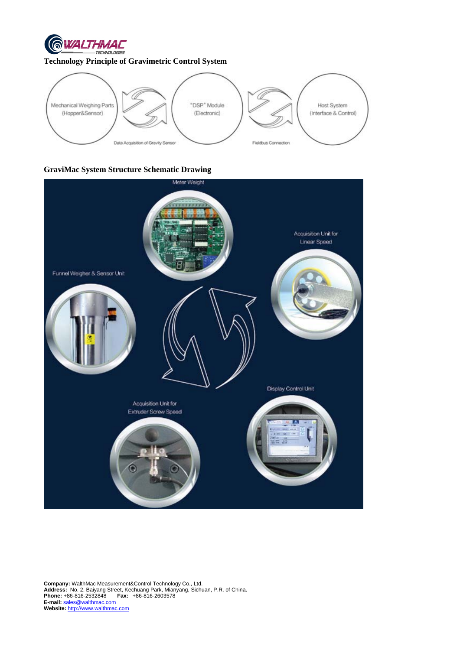

## **Technology Principle of Gravimetric Control System**



# **GraviMac System Structure Schematic Drawing**



**Company:** WalthMac Measurement&Control Technology Co., Ltd. **Address:** No. 2, Baiyang Street, Kechuang Park, Mianyang, Sichuan, P.R. of China. **Phone:** +86-816-2532848 **Fax:** +86-816-2603578 **E-mail:** sales@walthmac.com **Website:** http://www.walthmac.com